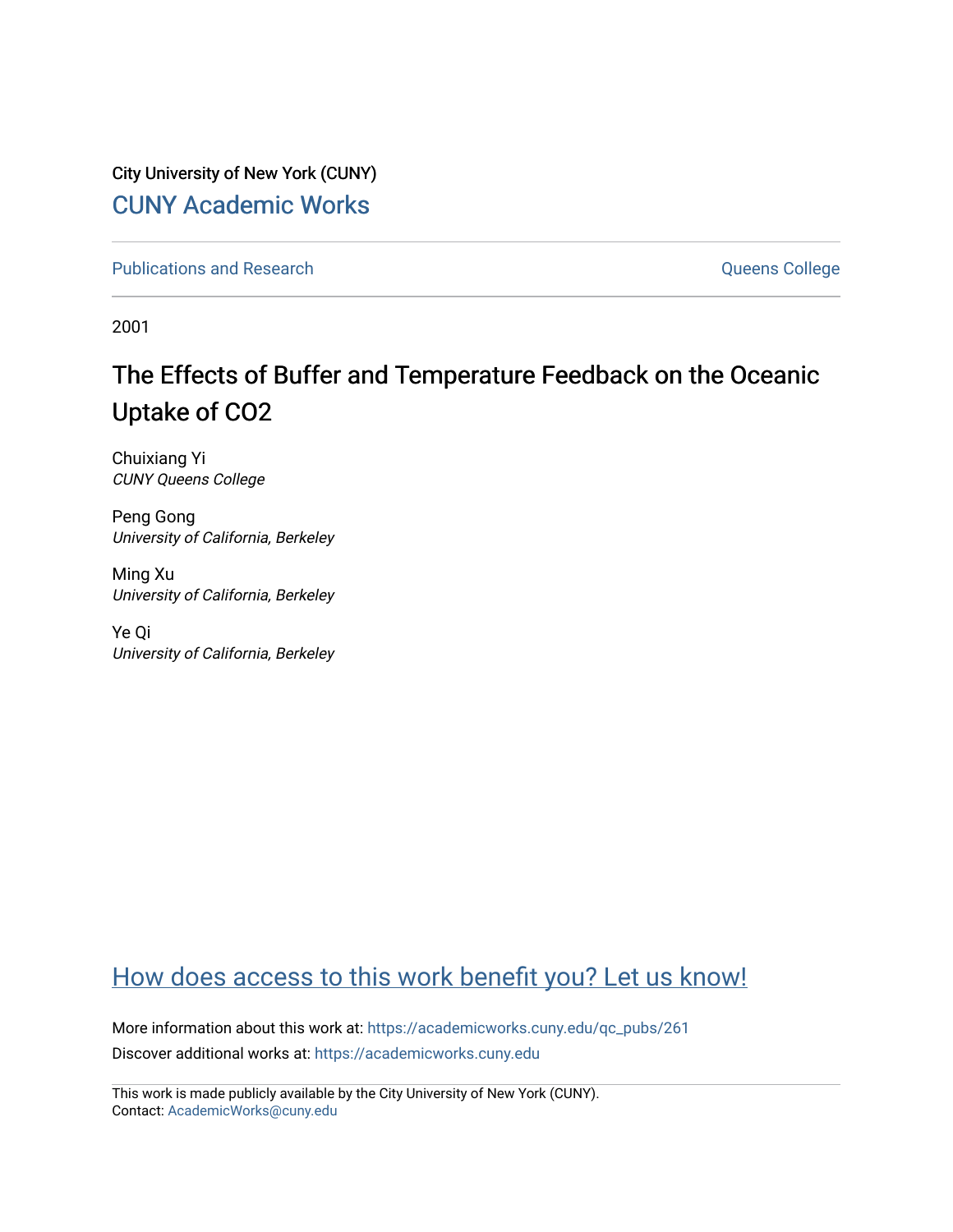City University of New York (CUNY) [CUNY Academic Works](https://academicworks.cuny.edu/) 

[Publications and Research](https://academicworks.cuny.edu/qc_pubs) **College** College and Theorem and Theorem and Theorem and Theorem and Theorem and Theorem and Theorem and Theorem and Theorem and Theorem and Theorem and Theorem and Theorem and Theorem and Theore

2001

# The Effects of Buffer and Temperature Feedback on the Oceanic Uptake of CO2

Chuixiang Yi CUNY Queens College

Peng Gong University of California, Berkeley

Ming Xu University of California, Berkeley

Ye Qi University of California, Berkeley

## [How does access to this work benefit you? Let us know!](http://ols.cuny.edu/academicworks/?ref=https://academicworks.cuny.edu/qc_pubs/261)

More information about this work at: [https://academicworks.cuny.edu/qc\\_pubs/261](https://academicworks.cuny.edu/qc_pubs/261) Discover additional works at: [https://academicworks.cuny.edu](https://academicworks.cuny.edu/?)

This work is made publicly available by the City University of New York (CUNY). Contact: [AcademicWorks@cuny.edu](mailto:AcademicWorks@cuny.edu)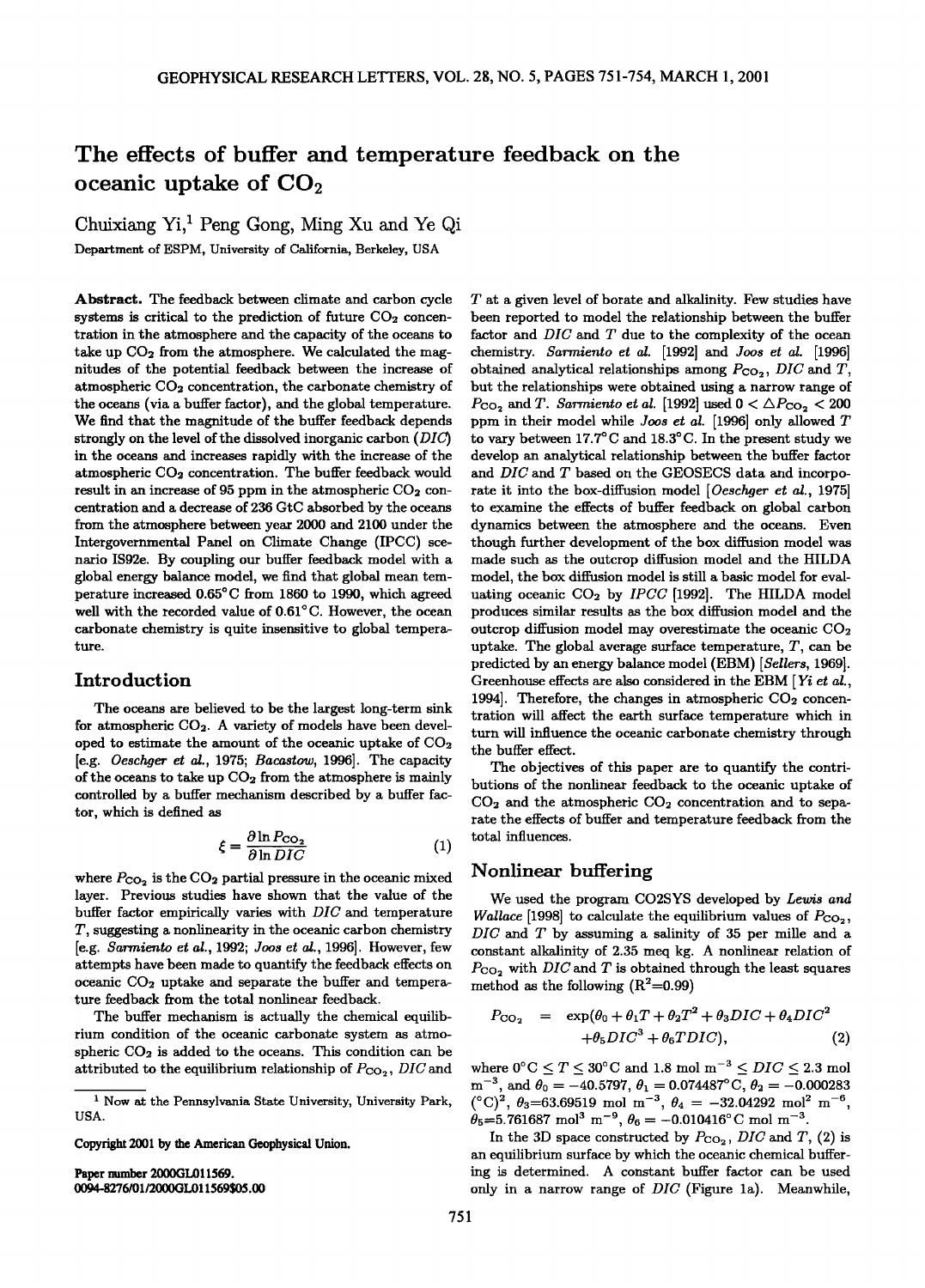### **The effects of buffer and temperature feedback on the oceanic uptake of CO**<sub>2</sub>

**Chuixiang Yi, Peng Gong, Ming Xu and Ye Qi Department of ESPM, University of California, Berkeley, USA** 

**Abstract. The feedback between climate and carbon cycle**  systems is critical to the prediction of future CO<sub>2</sub> concen**tration in the atmosphere and the capacity of the oceans to**  take up  $CO<sub>2</sub>$  from the atmosphere. We calculated the mag**nitudes of the potential feedback between the increase of atmospheric CO2 concentration, the carbonate chemistry of the oceans (via a buffer factor), and the global temperature. We find that the magnitude of the buffer feedback depends**  strongly on the level of the dissolved inorganic carbon (DIC) **in the oceans and increases rapidly with the increase of the**  atmospheric CO<sub>2</sub> concentration. The buffer feedback would result in an increase of 95 ppm in the atmospheric CO<sub>2</sub> con**centration and a decrease of 236 GtC absorbed by the oceans from the atmosphere between year 2000 and 2100 under the Intergovernmental Panel on Climate Change (IPCC) scenaxio IS92e. By coupling our buffer feedback model with a global energy balance model, we find that global mean temperature increased 0.65°C from 1860 to 1990, which agreed** well with the recorded value of 0.61<sup>°</sup>C. However, the ocean **carbonate chemistry is quite insensitive to global temperature.** 

#### **Introduction**

**The oceans are believed to be the largest long-term sink for atmospheric CO2. A variety of models have been developed to estimate the amount of the oceanic uptake of CO2 [e.g. Oeschger et ed., 1975; Bacastow, 1996]. The capacity**  of the oceans to take up  $CO<sub>2</sub>$  from the atmosphere is mainly **controlled by a buffer mechanism described by a buffer factor, which is defined as** 

$$
\xi = \frac{\partial \ln P_{\text{CO}_2}}{\partial \ln DIC} \tag{1}
$$

where  $P_{CO_2}$  is the  $CO_2$  partial pressure in the oceanic mixed **layer. Previous studies have shown that the value of the buffer factor empirically varies with DIC and temperature T, suggesting a nonlinearity in the oceanic carbon chemistry [e.g. \$armiento et al., 1992; Joos et ed., 1996]. However, few attempts have been made to quantify the feedback effects on**  oceanic CO<sub>2</sub> uptake and separate the buffer and tempera**ture feedback from the total nonlinear feedback.** 

**The buffer mechanism is actually the chemical equilibrium condition of the oceanic carbonate system as atmo**spheric CO<sub>2</sub> is added to the oceans. This condition can be attributed to the equilibrium relationship of  $P_{CO_2}$ , DIC and

**Copyright 2001 by the American Geophysical Union.** 

Paper number 2000GL011569. **0(O4-8276/01/2000GL011569505.00**  **T at a given level of borate and alkalinity. Few studies have been reported to model the relationship between the buffer factor and DIC and T due to the complexity of the ocean chemistry. Sarmiento et ed. [1992] and Joos et ed. [1996]**  obtained analytical relationships among  $P_{CO_2}$ ,  $DIC$  and  $T$ , **but the relationships were obtained using a narrow range of**   $P_{\text{CO}_2}$  and T. Sarmiento et al. [1992] used  $0 < \Delta P_{\text{CO}_2} < 200$ **ppm in their model while Joos et al. [1996] only allowed T**  to vary between 17.7<sup>o</sup>C and 18.3<sup>o</sup>C. In the present study we **develop an analytical relationship between the buffer factor and DIC and T based on the GEOSECS data and incorpo**rate it into the box-diffusion model [Oeschger et al., 1975] **to examine the effects of buffer feedback on global carbon dynamics between the atmosphere and the oceans. Even though further development of the box diffusion model was made such as the outcrop diffusion model and the HILDA model, the box diffusion model is still a basic model for eval**uating oceanic  $CO<sub>2</sub>$  by *IPCC* [1992]. The HILDA model **produces similar results as the box diffusion model and the outcrop diffusion model may overestimate the oceanic CO2 uptake. The global average surface temperature, T, can be predicted by an energy balance model (EBM) [Sellers, 1969].**  Greenhouse effects are also considered in the EBM [Yi et al., 1994]. Therefore, the changes in atmospheric CO<sub>2</sub> concen**tration will affect the earth surface temperature which in turn will influence the oceanic carbonate chemistry through the buffer effect.** 

**The objectives of this paper are to quantify the contributions of the nonlinear feedback to the oceanic uptake of**  CO<sub>2</sub> and the atmospheric CO<sub>2</sub> concentration and to sepa**rate the effects of buffer and temperature feedback from the total influences.** 

#### **Nonlinear buffering**

**We used the program CO2SYS developed by Lewis and**  *Wallace* [1998] to calculate the equilibrium values of  $P_{CO_2}$ , **DIC and T by assuming a salinity of 35 per mille and a constant alkalinity of 2.35 meq kg. A nonlinear relation of**   $P_{CO}$ , with  $DIC$  and  $T$  is obtained through the least squares method as the following  $(R^2=0.99)$ 

$$
P_{\text{CO}_2} = \exp(\theta_0 + \theta_1 T + \theta_2 T^2 + \theta_3 DIC + \theta_4 DIC^2
$$
  
+  $\theta_5 DIC^3 + \theta_6 T DIC$ ), (2)

where  $0^{\circ}$ C  $\leq T \leq 30^{\circ}$ C and 1.8 mol  $m^{-3} \leq DIC \leq 2.3$  mol  $m^{-3}$ , and  $\theta_0 = -40.5797$ ,  $\theta_1 = 0.074487$ °C,  $\theta_2 = -0.000283$  $({}^{\circ}C)^2$ ,  $\theta_3$ =63.69519 mol m<sup>-3</sup>,  $\theta_4$  = -32.04292 mol<sup>2</sup> m<sup>-6</sup>,  $\theta_5=5.761687 \text{ mol}^3 \text{ m}^{-9}, \theta_6=-0.010416^{\circ} \text{C} \text{ mol } \text{m}^{-3}.$ 

In the 3D space constructed by  $P_{CO_2}$ , *DIC* and *T*, (2) is **an equilibrium surface by which the oceanic chemical buffering is determined. A constant buffer factor can be used only in a narrow range of DIC (Figure la). Meanwhile,** 

**<sup>•</sup> Now at the Pennsylvania State University, University Park, USA.**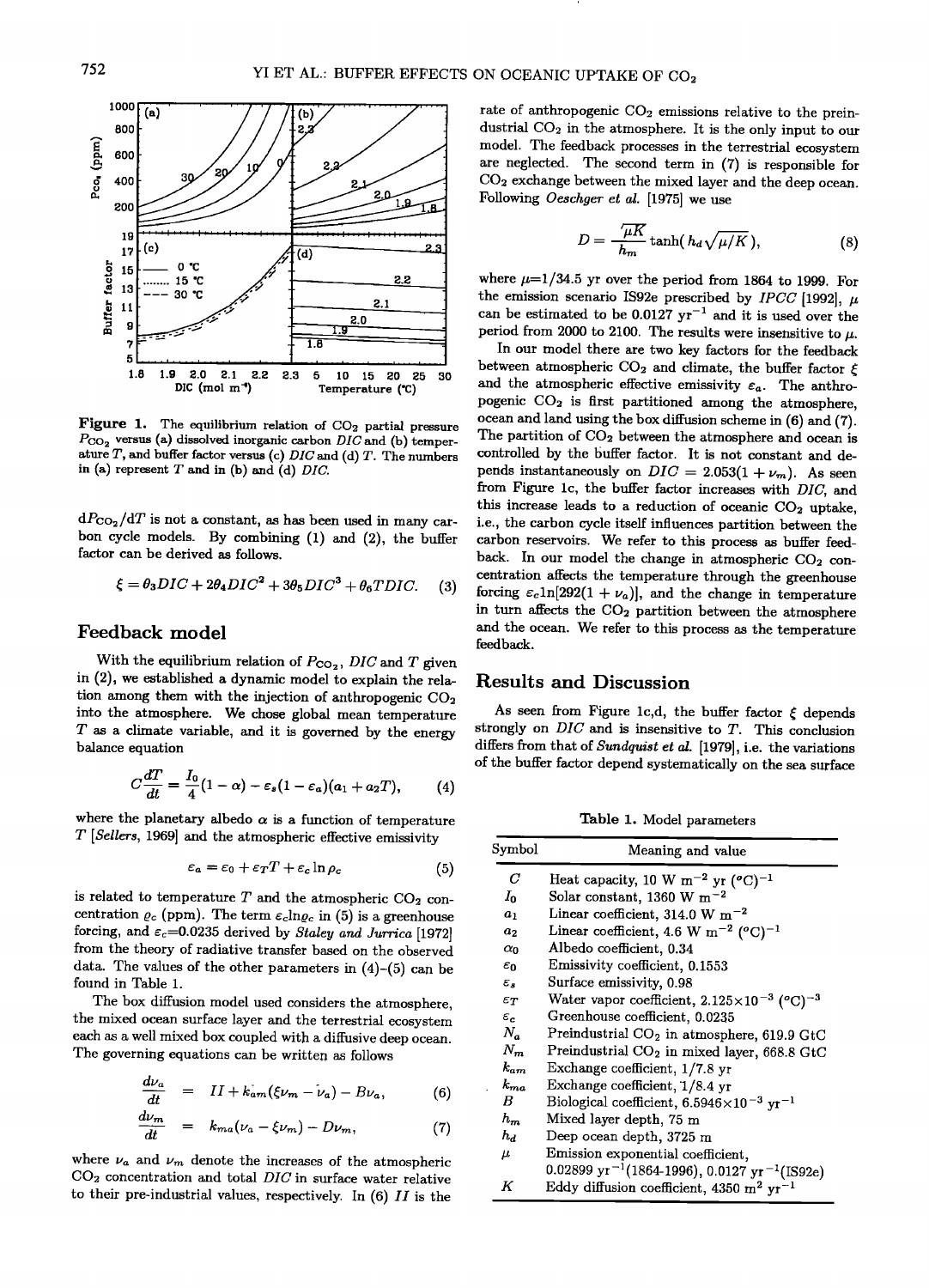

Figure 1. The equilibrium relation of  $CO<sub>2</sub>$  partial pressure  $P_{CO_2}$  versus (a) dissolved inorganic carbon DIC and (b) temperature  $T$ , and buffer factor versus (c) DIC and (d)  $T$ . The numbers in (a) represent  $T$  and in (b) and (d)  $DIC$ .

 $dP_{CO_2}/dT$  is not a constant, as has been used in many carbon cycle models. By combining (1) and (2), the buffer factor can be derived as follows.

$$
\xi = \theta_3 DIC + 2\theta_4 DIC^2 + 3\theta_5 DIC^3 + \theta_6 TDIC. \tag{3}
$$

#### Feedback model

With the equilibrium relation of  $P_{CO_2}$ , DIC and T given in (2), we established a dynamic model to explain the relation among them with the injection of anthropogenic  $CO<sub>2</sub>$ into the atmosphere. We chose global mean temperature  $T$  as a climate variable, and it is governed by the energy balance equation

$$
C\frac{dT}{dt}=\frac{I_0}{4}(1-\alpha)-\varepsilon_s(1-\varepsilon_a)(a_1+a_2T),\qquad(4)
$$

where the planetary albedo  $\alpha$  is a function of temperature  $T$  [Sellers, 1969] and the atmospheric effective emissivity

$$
\varepsilon_a = \varepsilon_0 + \varepsilon_T T + \varepsilon_c \ln \rho_c \tag{5}
$$

is related to temperature  $T$  and the atmospheric CO<sub>2</sub> concentration  $\varrho_c$  (ppm). The term  $\varepsilon_c$ ln $\varrho_c$  in (5) is a greenhouse forcing, and  $\varepsilon_c$ =0.0235 derived by Staley and Jurrica [1972] from the theory of radiative transfer based on the observed data. The values of the other parameters in  $(4)-(5)$  can be found in Table 1.

The box diffusion model used considers the atmosphere, the mixed ocean surface layer and the terrestrial ecosystem each as a well mixed box coupled with a diffusive deep ocean. The governing equations can be written as follows

$$
\frac{d\nu_a}{dt} = II + k_{am}(\xi\nu_m - \nu_a) - B\nu_a, \tag{6}
$$

$$
\frac{d\nu_m}{dt} = k_{ma}(\nu_a - \xi \nu_m) - D\nu_m, \qquad (7)
$$

where  $\nu_a$  and  $\nu_m$  denote the increases of the atmospheric  $CO<sub>2</sub>$  concentration and total  $DIC$  in surface water relative to their pre-industrial values, respectively. In  $(6)$   $II$  is the rate of anthropogenic  $CO<sub>2</sub>$  emissions relative to the preindustrial  $CO<sub>2</sub>$  in the atmosphere. It is the only input to our model. The feedback processes in the terrestrial ecosystem are neglected. The second term in (7) is responsible for CO<sub>2</sub> exchange between the mixed layer and the deep ocean. Following Oeschger et al. [1975] we use

$$
D = \frac{\sqrt{\mu K}}{h_m} \tanh(h_d \sqrt{\mu/K}), \qquad (8)
$$

where  $\mu=1/34.5$  yr over the period from 1864 to 1999. For the emission scenario IS92e prescribed by *IPCC* [1992],  $\mu$ can be estimated to be 0.0127  $yr^{-1}$  and it is used over the period from 2000 to 2100. The results were insensitive to  $\mu$ .

In our model there are two key factors for the feedback between atmospheric CO<sub>2</sub> and climate, the buffer factor  $\xi$ and the atmospheric effective emissivity  $\varepsilon_a$ . The anthropogenic CO<sub>2</sub> is first partitioned among the atmosphere, ocean and land using the box diffusion scheme in (6) and (7). The partition of CO<sub>2</sub> between the atmosphere and ocean is controlled by the buffer factor. It is not constant and depends instantaneously on  $DIC = 2.053(1 + \nu_m)$ . As seen from Figure 1c, the buffer factor increases with DIC, and this increase leads to a reduction of oceanic CO<sub>2</sub> uptake, i.e., the carbon cycle itself influences partition between the carbon reservoirs. We refer to this process as buffer feedback. In our model the change in atmospheric CO<sub>2</sub> concentration affects the temperature through the greenhouse forcing  $\varepsilon_c \ln[292(1 + \nu_a)]$ , and the change in temperature in turn affects the CO<sub>2</sub> partition between the atmosphere and the ocean. We refer to this process as the temperature feedback.

#### **Results and Discussion**

As seen from Figure 1c,d, the buffer factor  $\xi$  depends strongly on  $DIC$  and is insensitive to  $T$ . This conclusion differs from that of Sundquist et al. [1979], i.e. the variations of the buffer factor depend systematically on the sea surface

Table 1. Model parameters

| Symbol            | Meaning and value                                                       |
|-------------------|-------------------------------------------------------------------------|
| C                 | Heat capacity, 10 W m <sup>-2</sup> yr $({}^{\circ}C)^{-1}$             |
| $I_0$             | Solar constant, 1360 W m <sup>-2</sup>                                  |
| $a_1$             | Linear coefficient, 314.0 W m <sup>-2</sup>                             |
| a <sub>2</sub>    | Linear coefficient, 4.6 W m <sup>-2</sup> ( $^{\circ}$ C) <sup>-1</sup> |
| αn                | Albedo coefficient, 0.34                                                |
| $\varepsilon_0$   | Emissivity coefficient, 0.1553                                          |
| $\varepsilon$     | Surface emissivity, 0.98                                                |
| $\epsilon_T$      | Water vapor coefficient, $2.125 \times 10^{-3}$ (°C) <sup>-3</sup>      |
| $\varepsilon_{c}$ | Greenhouse coefficient, 0.0235                                          |
| $N_a$             | Preindustrial CO <sub>2</sub> in atmosphere, 619.9 GtC                  |
| $N_{m}$           | Preindustrial CO <sub>2</sub> in mixed layer, 668.8 GtC                 |
| $k_{nm}$          | Exchange coefficient, $1/7.8$ yr                                        |
| $k_{ma}$          | Exchange coefficient, 1/8.4 yr                                          |
| В                 | Biological coefficient, $6.5946 \times 10^{-3}$ yr <sup>-1</sup>        |
| $h_m$             | Mixed layer depth, 75 m                                                 |
| $h_d$             | Deep ocean depth, 3725 m                                                |
| μ                 | Emission exponential coefficient,                                       |
|                   | 0.02899 yr <sup>-1</sup> (1864-1996), 0.0127 yr <sup>-1</sup> (IS92e)   |
| K                 | Eddy diffusion coefficient, 4350 m <sup>2</sup> yr <sup>-1</sup>        |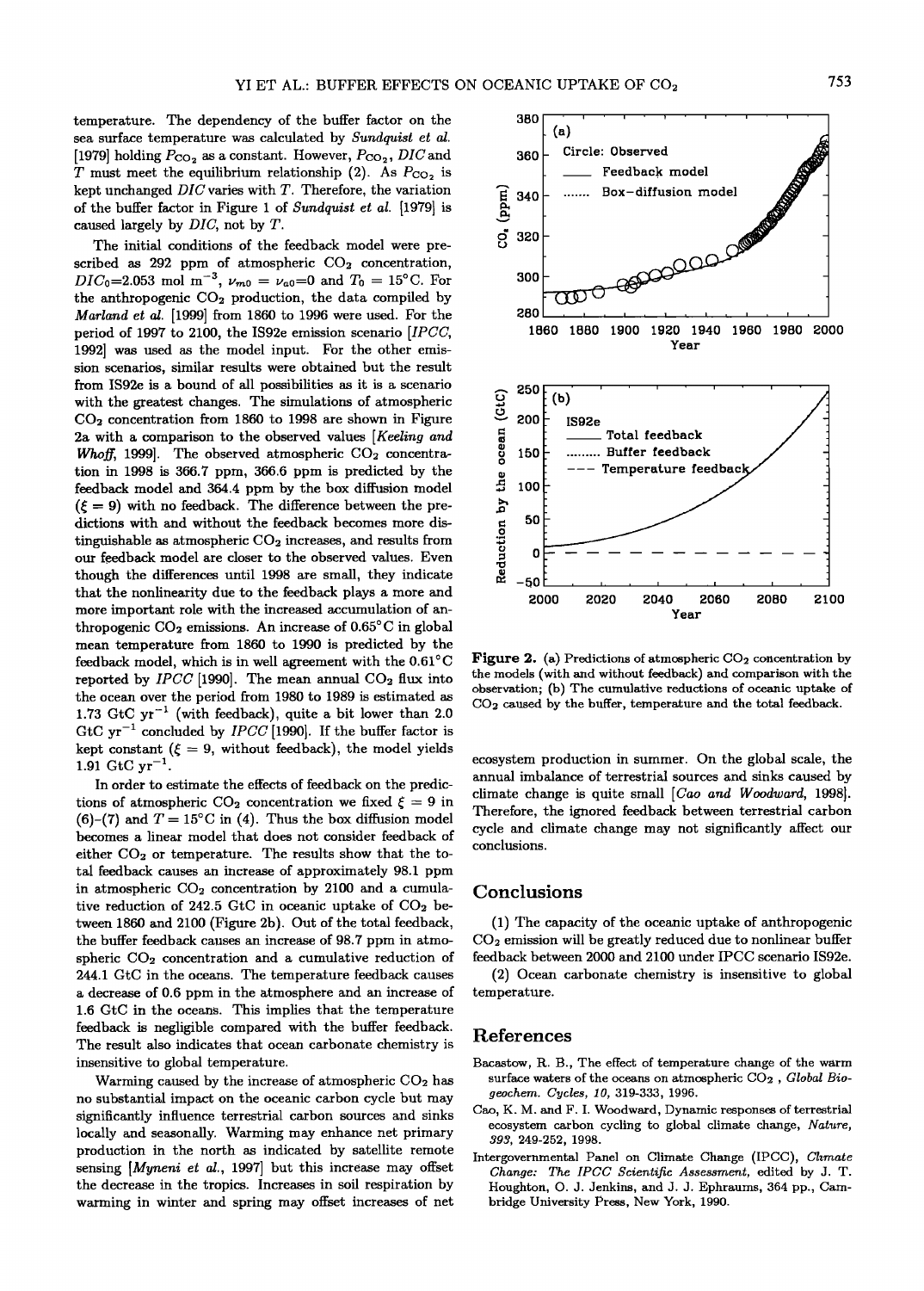**temperature. The dependency of the buffer factor on the sea surface temperature was calculated by Sundquist et al.**  [1979] holding  $P_{CO_2}$  as a constant. However,  $P_{CO_2}$ ,  $DIC$  and T must meet the equilibrium relationship (2). As  $P_{CO_2}$  is **kept unchanged DIC varies with T. Therefore, the variation of the buffer factor in Figure i of Sundquist et al. [1979] is caused largely by DIC, not by T.** 

**The initial conditions of the feedback model were pre**scribed as 292 ppm of atmospheric CO<sub>2</sub> concentration,  $DIC_0 = 2.053 \text{ mol m}^{-3}$ ,  $\nu_{m0} = \nu_{a0} = 0$  and  $T_0 = 15^{\circ}$ C. For **the anthropogenic CO2 production, the data compiled by Marland eta/. [1999] from 1860 to 1996 were used. For the period of 1997 to 2100, the IS92e emission scenario [IPCC, 1992] was used as the model input. For the other emission scenarios, similar results were obtained but the result from IS92e is a bound of all possibilities as it is a scenario with the greatest changes. The simulations of atmospheric CO2 concentration from 1860 to 1998 are shown in Figure 2a with a comparison to the observed values [Keeling and**  Whoff, 1999]. The observed atmospheric CO<sub>2</sub> concentra**tion in 1998 is 366.7 ppm, 366.6 ppm is predicted by the feedback model and 364.4 ppm by the box diffusion model**   $(\xi = 9)$  with no feedback. The difference between the pre**dictions with and without the feedback becomes more dis**tinguishable as atmospheric  $CO<sub>2</sub>$  increases, and results from **our feedback model are closer to the observed values. Even though the differences until 1998 are small, they indicate that the nonlinearity due to the feedback plays a more and more important role with the increased accumulation of an**thropogenic CO<sub>2</sub> emissions. An increase of 0.65<sup>°</sup>C in global **mean temperature from 1860 to 1990 is predicted by the**  feedback model, which is in well agreement with the  $0.61^{\circ}$ C reported by  $IPCC$  [1990]. The mean annual  $CO<sub>2</sub>$  flux into **the ocean over the period from 1980 to 1989 is estimated as 1.73 GtC yr -• (with feedback), quite a bit lower than 2.0**  GtC  $yr^{-1}$  concluded by *IPCC* [1990]. If the buffer factor is kept constant ( $\xi = 9$ , without feedback), the model yields 1.91  $\text{GtC yr}^{-1}$ .

**In order to estimate the effects of feedback on the predic**tions of atmospheric CO<sub>2</sub> concentration we fixed  $\xi = 9$  in (6)-(7) and  $T = 15^{\circ}\text{C}$  in (4). Thus the box diffusion model **becomes a linear model that does not consider feedback of**  either CO<sub>2</sub> or temperature. The results show that the to**tal feedback causes an increase of approximately 98.1 ppm**  in atmospheric CO<sub>2</sub> concentration by 2100 and a cumulative reduction of 242.5 GtC in oceanic uptake of CO<sub>2</sub> be**tween 1860 and 2100 (Figure 2b). Out of the total feedback, the buffer feedback causes an increase of 98.7 ppm in atmo**spheric CO<sub>2</sub> concentration and a cumulative reduction of **244.1 GtC in the oceans. The temperature feedback causes a decrease of 0.6 ppm in the atmosphere and an increase of 1.6 GtC in the oceans. This implies that the temperature feedback is negligible compared with the buffer feedback. The result also indicates that ocean carbonate chemistry is insensitive to global temperature.** 

**Warming caused by the increase of atmospheric CO2 has no substantial impact on the oceanic carbon cycle but may significantly influence terrestrial carbon sources and sinks**  locally and seasonally. Warming may enhance net primary **production in the north as indicated by satellite remote**  sensing [*Myneni et al.*, 1997] but this increase may offset **the decrease in the tropics. Increases in soil respiration by**  warming in winter and spring may offset increases of net



Figure 2. (a) Predictions of atmospheric CO<sub>2</sub> concentration by **the models (with and without feedback) and comparison with the observation; (b) The cumulative reductions of oceanic uptake of CO2 caused by the buffer, temperature and the total feedback.** 

**ecosystem production in summer. On the global scale, the annual imbalance of terrestrial sources and sinks caused by climate change is quite small [Cao and Woodward, 1998]. Therefore, the ignored feedback between terrestrial carbon cycle and climate change may not significantly affect our conclusions.** 

#### **Conclusions**

**(1) The capacity of the oceanic uptake of anthropogenic CO2 emission will be greatly reduced due to nonlinear buffer feedback between 2000 and 2100 under IPCC scenario IS92e.** 

**(2) Ocean carbonate chemistry is insensitive to global temperature.** 

#### **References**

- Bacastow, R. B., The effect of temperature change of the warm **surface waters of the oceans on atmospheric CO2 , Global Biogeochem. Cycles, 10, 319-333, 1996.**
- **Cao, K. M. and F. I. Woodward, Dynamic responses of terrestrial ecosystem carbon cycling to global climate change, Nature, 393, 249-252, 1998.**
- **Intergovernmental Panel on Climate Change (IPCC), Climate Change: The IPCC Scientific Assessment, edited by J. T. Houghton, O. J. Jenkins, and J. J. Ephraums, 364 pp., Cambridge University Press, New York, 1990.**